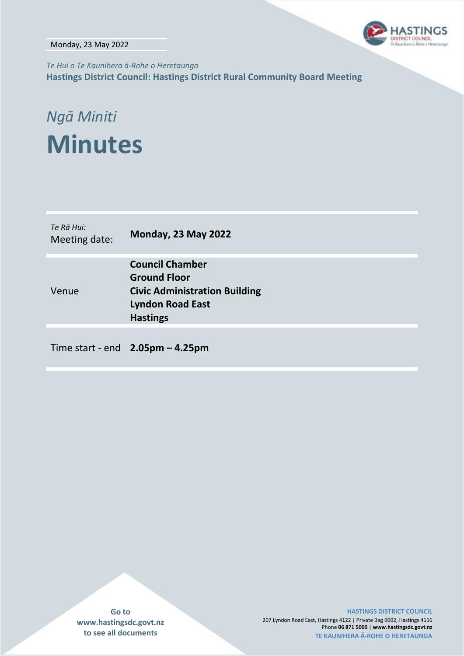Monday, 23 May 2022



*Te Hui o Te Kaunihera ā-Rohe o Heretaunga* **Hastings District Council: Hastings District Rural Community Board Meeting**

# *Ngā Miniti* **Minutes**

| Te Rā Hui:<br>Meeting date: | <b>Monday, 23 May 2022</b>                                                                                                          |
|-----------------------------|-------------------------------------------------------------------------------------------------------------------------------------|
| Venue                       | <b>Council Chamber</b><br><b>Ground Floor</b><br><b>Civic Administration Building</b><br><b>Lyndon Road East</b><br><b>Hastings</b> |
|                             |                                                                                                                                     |

Time start - end **2.05pm – 4.25pm**

**Go to www.hastingsdc.govt.nz to see all documents**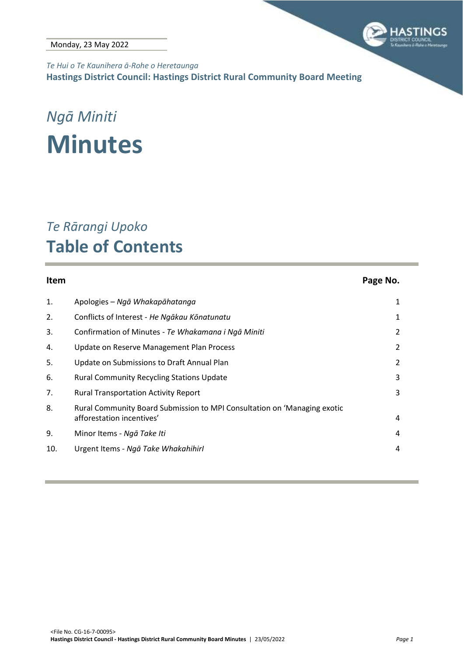

*Te Hui o Te Kaunihera ā-Rohe o Heretaunga* **Hastings District Council: Hastings District Rural Community Board Meeting**

### *Ngā Miniti* **Minutes**

### *Te Rārangi Upoko* **Table of Contents**

### **Item Page No.** 1. Apologies *– [Ngā Whakapāhatanga](#page-2-0)* 1 2. Conflicts of Interest - *[He Ngākau Kōnatunatu](#page-2-1)* 1 3. Confirmation of Minutes - *[Te Whakamana i Ngā Miniti](#page-3-0)* 2 4. [Update on Reserve Management Plan Process](#page-3-1) 2 5. [Update on Submissions to Draft Annual Plan](#page-3-1) 2 6. [Rural Community Recycling Stations Update](#page-4-0) 3 7. [Rural Transportation Activity Report](#page-4-0) 3 8. [Rural Community Board Submission to MPI Consultation on 'Managing exotic](#page-5-0)  [afforestation incentives'](#page-5-0) 4 9. [Minor Items -](#page-5-1) *Ngā Take Iti* 4 10. Urgent Items - *[Ngā Take WhakahihirI](#page-5-2)* 4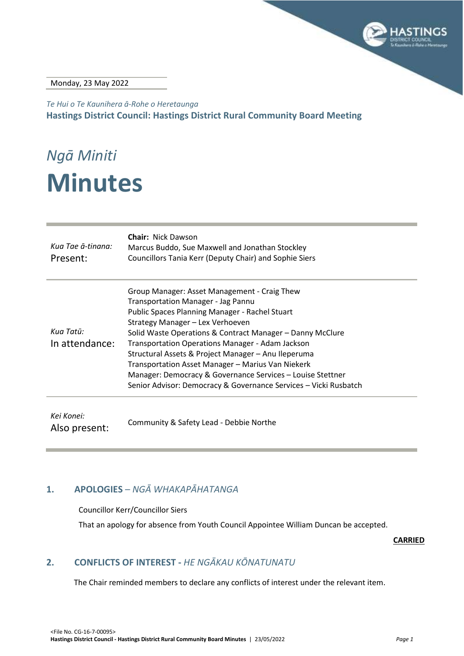

Monday, 23 May 2022

*Te Hui o Te Kaunihera ā-Rohe o Heretaunga* **Hastings District Council: Hastings District Rural Community Board Meeting**

# *Ngā Miniti* **Minutes**

| Kua Tae ā-tinana:<br>Present: | <b>Chair: Nick Dawson</b><br>Marcus Buddo, Sue Maxwell and Jonathan Stockley<br>Councillors Tania Kerr (Deputy Chair) and Sophie Siers                                                                                                                                                                                                                                                                                                                                                                                                         |
|-------------------------------|------------------------------------------------------------------------------------------------------------------------------------------------------------------------------------------------------------------------------------------------------------------------------------------------------------------------------------------------------------------------------------------------------------------------------------------------------------------------------------------------------------------------------------------------|
| Kua Tatū:<br>In attendance:   | Group Manager: Asset Management - Craig Thew<br><b>Transportation Manager - Jag Pannu</b><br>Public Spaces Planning Manager - Rachel Stuart<br>Strategy Manager - Lex Verhoeven<br>Solid Waste Operations & Contract Manager – Danny McClure<br>Transportation Operations Manager - Adam Jackson<br>Structural Assets & Project Manager - Anu Ileperuma<br>Transportation Asset Manager - Marius Van Niekerk<br>Manager: Democracy & Governance Services - Louise Stettner<br>Senior Advisor: Democracy & Governance Services - Vicki Rusbatch |
| Kei Konei:<br>Also present:   | Community & Safety Lead - Debbie Northe                                                                                                                                                                                                                                                                                                                                                                                                                                                                                                        |

#### <span id="page-2-0"></span>**1. APOLOGIES** *– NGĀ WHAKAPĀHATANGA*

#### Councillor Kerr/Councillor Siers

That an apology for absence from Youth Council Appointee William Duncan be accepted.

**CARRIED**

#### <span id="page-2-1"></span>**2. CONFLICTS OF INTEREST -** *HE NGĀKAU KŌNATUNATU*

The Chair reminded members to declare any conflicts of interest under the relevant item.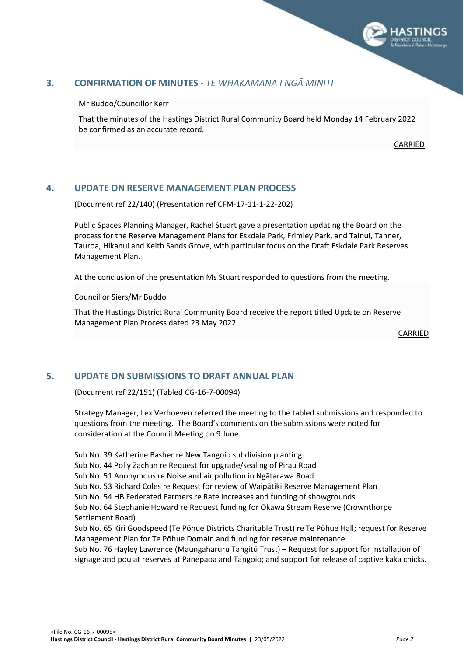

#### <span id="page-3-1"></span><span id="page-3-0"></span>**3. CONFIRMATION OF MINUTES -** *TE WHAKAMANA I NGĀ MINITI*

Mr Buddo/Councillor Kerr

That the minutes of the Hastings District Rural Community Board held Monday 14 February 2022 be confirmed as an accurate record.

CARRIED

#### **4. UPDATE ON RESERVE MANAGEMENT PLAN PROCESS**

(Document ref 22/140) (Presentation ref CFM-17-11-1-22-202)

Public Spaces Planning Manager, Rachel Stuart gave a presentation updating the Board on the process for the Reserve Management Plans for Eskdale Park, Frimley Park, and Tainui, Tanner, Tauroa, Hikanui and Keith Sands Grove, with particular focus on the Draft Eskdale Park Reserves Management Plan.

At the conclusion of the presentation Ms Stuart responded to questions from the meeting.

Councillor Siers/Mr Buddo

That the Hastings District Rural Community Board receive the report titled Update on Reserve Management Plan Process dated 23 May 2022.

CARRIED

#### **5. UPDATE ON SUBMISSIONS TO DRAFT ANNUAL PLAN**

(Document ref 22/151) (Tabled CG-16-7-00094)

Strategy Manager, Lex Verhoeven referred the meeting to the tabled submissions and responded to questions from the meeting. The Board's comments on the submissions were noted for consideration at the Council Meeting on 9 June.

Sub No. 39 Katherine Basher re New Tangoio subdivision planting

Sub No. 44 Polly Zachan re Request for upgrade/sealing of Pirau Road

Sub No. 51 Anonymous re Noise and air pollution in Ngātarawa Road

Sub No. 53 Richard Coles re Request for review of Waipātiki Reserve Management Plan

Sub No. 54 HB Federated Farmers re Rate increases and funding of showgrounds.

Sub No. 64 Stephanie Howard re Request funding for Okawa Stream Reserve (Crownthorpe Settlement Road)

Sub No. 65 Kiri Goodspeed (Te Pōhue Districts Charitable Trust) re Te Pōhue Hall; request for Reserve Management Plan for Te Pōhue Domain and funding for reserve maintenance.

Sub No. 76 Hayley Lawrence (Maungaharuru Tangitū Trust) – Request for support for installation of signage and pou at reserves at Panepaoa and Tangoio; and support for release of captive kaka chicks.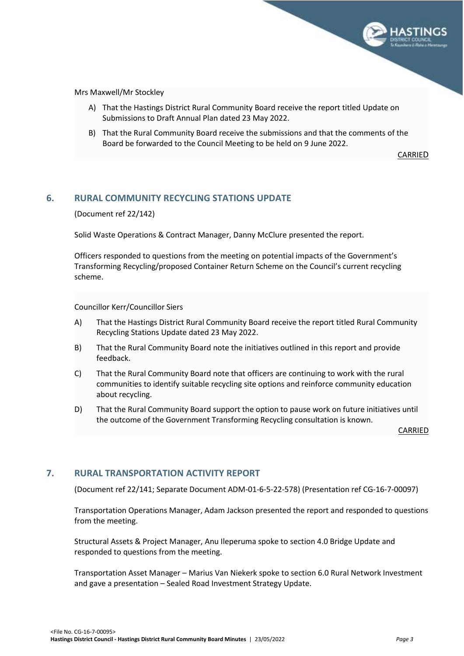

<span id="page-4-0"></span>Mrs Maxwell/Mr Stockley

- A) That the Hastings District Rural Community Board receive the report titled Update on Submissions to Draft Annual Plan dated 23 May 2022.
- B) That the Rural Community Board receive the submissions and that the comments of the Board be forwarded to the Council Meeting to be held on 9 June 2022.

CARRIED

#### **6. RURAL COMMUNITY RECYCLING STATIONS UPDATE**

(Document ref 22/142)

Solid Waste Operations & Contract Manager, Danny McClure presented the report.

Officers responded to questions from the meeting on potential impacts of the Government's Transforming Recycling/proposed Container Return Scheme on the Council's current recycling scheme.

Councillor Kerr/Councillor Siers

- A) That the Hastings District Rural Community Board receive the report titled Rural Community Recycling Stations Update dated 23 May 2022.
- B) That the Rural Community Board note the initiatives outlined in this report and provide feedback.
- C) That the Rural Community Board note that officers are continuing to work with the rural communities to identify suitable recycling site options and reinforce community education about recycling.
- D) That the Rural Community Board support the option to pause work on future initiatives until the outcome of the Government Transforming Recycling consultation is known.

CARRIED

#### **7. RURAL TRANSPORTATION ACTIVITY REPORT**

(Document ref 22/141; Separate Document ADM-01-6-5-22-578) (Presentation ref CG-16-7-00097)

Transportation Operations Manager, Adam Jackson presented the report and responded to questions from the meeting.

Structural Assets & Project Manager, Anu Ileperuma spoke to section 4.0 Bridge Update and responded to questions from the meeting.

Transportation Asset Manager – Marius Van Niekerk spoke to section 6.0 Rural Network Investment and gave a presentation – Sealed Road Investment Strategy Update.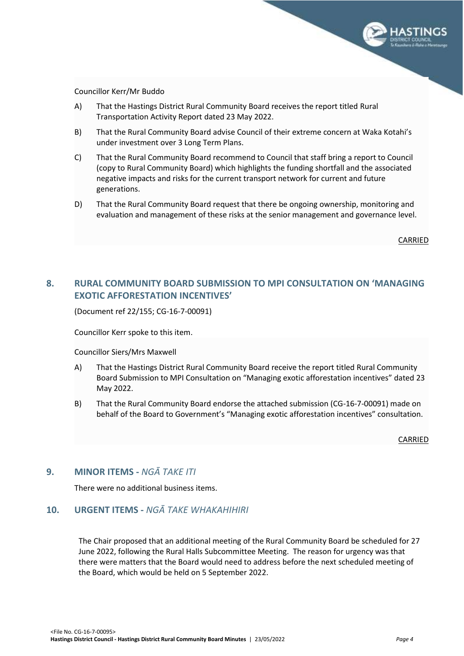

<span id="page-5-0"></span>Councillor Kerr/Mr Buddo

- A) That the Hastings District Rural Community Board receives the report titled Rural Transportation Activity Report dated 23 May 2022.
- B) That the Rural Community Board advise Council of their extreme concern at Waka Kotahi's under investment over 3 Long Term Plans.
- C) That the Rural Community Board recommend to Council that staff bring a report to Council (copy to Rural Community Board) which highlights the funding shortfall and the associated negative impacts and risks for the current transport network for current and future generations.
- D) That the Rural Community Board request that there be ongoing ownership, monitoring and evaluation and management of these risks at the senior management and governance level.

CARRIED

#### **8. RURAL COMMUNITY BOARD SUBMISSION TO MPI CONSULTATION ON 'MANAGING EXOTIC AFFORESTATION INCENTIVES'**

(Document ref 22/155; CG-16-7-00091)

Councillor Kerr spoke to this item.

Councillor Siers/Mrs Maxwell

- A) That the Hastings District Rural Community Board receive the report titled Rural Community Board Submission to MPI Consultation on "Managing exotic afforestation incentives" dated 23 May 2022.
- B) That the Rural Community Board endorse the attached submission (CG-16-7-00091) made on behalf of the Board to Government's "Managing exotic afforestation incentives" consultation.

CARRIED

#### <span id="page-5-1"></span>**9. MINOR ITEMS -** *NGĀ TAKE ITI*

There were no additional business items.

#### <span id="page-5-2"></span>**10. URGENT ITEMS -** *NGĀ TAKE WHAKAHIHIRI*

The Chair proposed that an additional meeting of the Rural Community Board be scheduled for 27 June 2022, following the Rural Halls Subcommittee Meeting. The reason for urgency was that there were matters that the Board would need to address before the next scheduled meeting of the Board, which would be held on 5 September 2022.